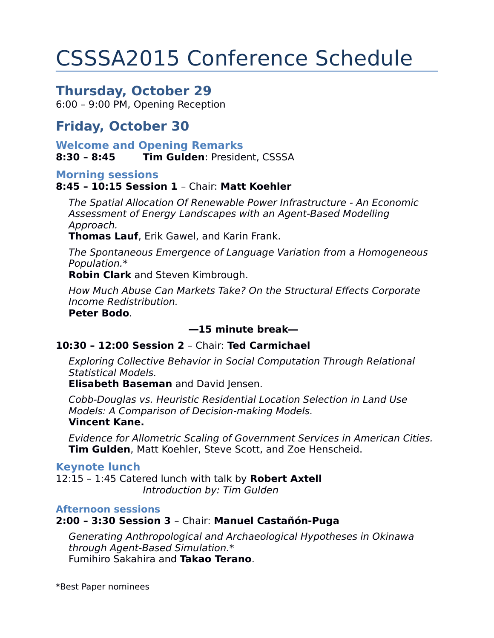# CSSSA2015 Conference Schedule

# **Thursday, October 29**

6:00 – 9:00 PM, Opening Reception

# **Friday, October 30**

**Welcome and Opening Remarks 8:30 – 8:45 Tim Gulden**: President, CSSSA

#### **Morning sessions**

### **8:45 – 10:15 Session 1** – Chair: **Matt Koehler**

The Spatial Allocation Of Renewable Power Infrastructure - An Economic Assessment of Energy Landscapes with an Agent-Based Modelling Approach.

**Thomas Lauf**, Erik Gawel, and Karin Frank.

The Spontaneous Emergence of Language Variation from a Homogeneous Population.\*

**Robin Clark** and Steven Kimbrough.

How Much Abuse Can Markets Take? On the Structural Effects Corporate Income Redistribution.

#### **Peter Bodo**.

### **―15 minute break―**

### **10:30 – 12:00 Session 2** – Chair: **Ted Carmichael**

Exploring Collective Behavior in Social Computation Through Relational Statistical Models.

**Elisabeth Baseman** and David Jensen.

Cobb-Douglas vs. Heuristic Residential Location Selection in Land Use Models: A Comparison of Decision-making Models.

#### **Vincent Kane.**

Evidence for Allometric Scaling of Government Services in American Cities. **Tim Gulden**, Matt Koehler, Steve Scott, and Zoe Henscheid.

#### **Keynote lunch**

12:15 – 1:45 Catered lunch with talk by **Robert Axtell** Introduction by: Tim Gulden

#### **Afternoon sessions**

**2:00 – 3:30 Session 3** – Chair: **Manuel Castañón-Puga**

Generating Anthropological and Archaeological Hypotheses in Okinawa through Agent-Based Simulation.\* Fumihiro Sakahira and **Takao Terano**.

\*Best Paper nominees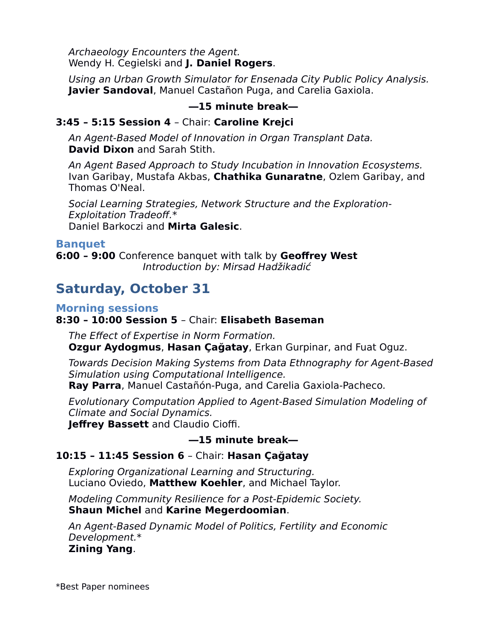Archaeology Encounters the Agent. Wendy H. Cegielski and **J. Daniel Rogers**.

Using an Urban Growth Simulator for Ensenada City Public Policy Analysis. **Javier Sandoval**, Manuel Castañon Puga, and Carelia Gaxiola.

### **―15 minute break―**

## **3:45 – 5:15 Session 4** – Chair: **Caroline Krejci**

An Agent-Based Model of Innovation in Organ Transplant Data. **David Dixon** and Sarah Stith.

An Agent Based Approach to Study Incubation in Innovation Ecosystems. Ivan Garibay, Mustafa Akbas, **Chathika Gunaratne**, Ozlem Garibay, and Thomas O'Neal.

Social Learning Strategies, Network Structure and the Exploration-Exploitation Tradeoff.\* Daniel Barkoczi and **Mirta Galesic**.

### **Banquet**

**6:00 – 9:00** Conference banquet with talk by **Geoffrey West** Introduction by: Mirsad Hadžikadić

# **Saturday, October 31**

### **Morning sessions**

## **8:30 – 10:00 Session 5** – Chair: **Elisabeth Baseman**

The Effect of Expertise in Norm Formation. **Ozgur Aydogmus**, **Hasan Çağatay**, Erkan Gurpinar, and Fuat Oguz.

Towards Decision Making Systems from Data Ethnography for Agent-Based Simulation using Computational Intelligence.

**Ray Parra**, Manuel Castañón-Puga, and Carelia Gaxiola-Pacheco.

Evolutionary Computation Applied to Agent-Based Simulation Modeling of Climate and Social Dynamics.

**Jeffrey Bassett** and Claudio Cioffi.

# **―15 minute break―**

# **10:15 – 11:45 Session 6** – Chair: **Hasan Çağatay**

Exploring Organizational Learning and Structuring. Luciano Oviedo, **Matthew Koehler**, and Michael Taylor.

Modeling Community Resilience for a Post-Epidemic Society. **Shaun Michel** and **Karine Megerdoomian**.

An Agent-Based Dynamic Model of Politics, Fertility and Economic Development.\* **Zining Yang**.

\*Best Paper nominees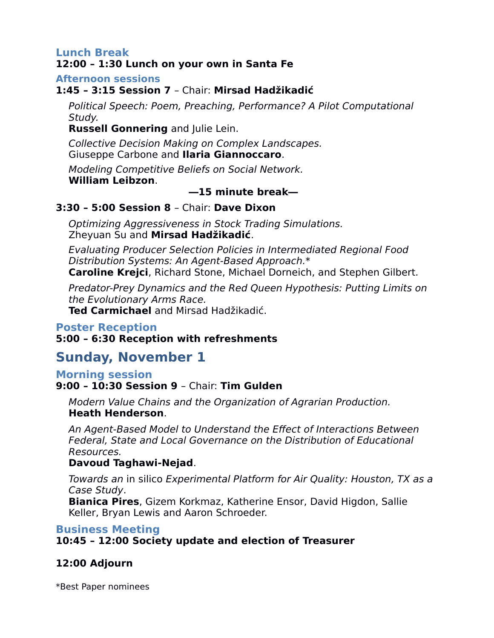# **Lunch Break**

## **12:00 – 1:30 Lunch on your own in Santa Fe**

**Afternoon sessions** 

## **1:45 – 3:15 Session 7** – Chair: **Mirsad Hadžikadić**

Political Speech: Poem, Preaching, Performance? A Pilot Computational Study.

**Russell Gonnering** and Julie Lein.

Collective Decision Making on Complex Landscapes.

Giuseppe Carbone and **Ilaria Giannoccaro**.

Modeling Competitive Beliefs on Social Network. **William Leibzon**.

# **―15 minute break―**

# **3:30 – 5:00 Session 8** – Chair: **Dave Dixon**

Optimizing Aggressiveness in Stock Trading Simulations. Zheyuan Su and **Mirsad Hadžikadić**.

Evaluating Producer Selection Policies in Intermediated Regional Food Distribution Systems: An Agent-Based Approach.\* **Caroline Krejci**, Richard Stone, Michael Dorneich, and Stephen Gilbert.

Predator-Prey Dynamics and the Red Queen Hypothesis: Putting Limits on the Evolutionary Arms Race.

**Ted Carmichael** and Mirsad Hadžikadić.

# **Poster Reception**

# **5:00 – 6:30 Reception with refreshments**

# **Sunday, November 1**

### **Morning session**

### **9:00 – 10:30 Session 9** – Chair: **Tim Gulden**

Modern Value Chains and the Organization of Agrarian Production. **Heath Henderson**.

An Agent-Based Model to Understand the Effect of Interactions Between Federal, State and Local Governance on the Distribution of Educational Resources.

### **Davoud Taghawi-Nejad**.

Towards an in silico Experimental Platform for Air Quality: Houston, TX as a Case Study.

**Bianica Pires**, Gizem Korkmaz, Katherine Ensor, David Higdon, Sallie Keller, Bryan Lewis and Aaron Schroeder.

# **Business Meeting**

**10:45 – 12:00 Society update and election of Treasurer**

# **12:00 Adjourn**

\*Best Paper nominees